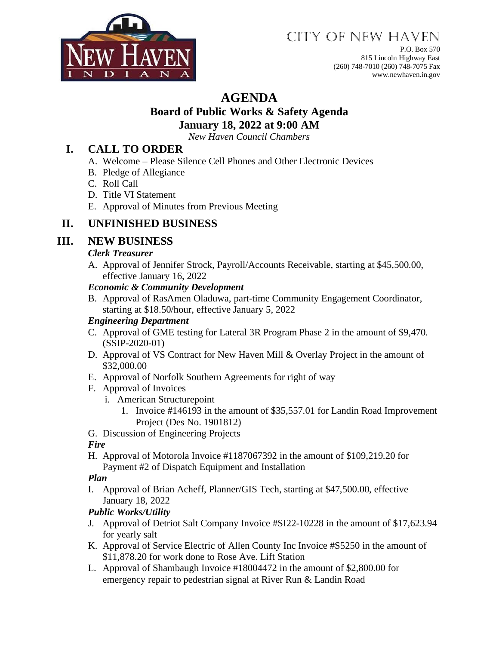

# CITY OF NEW HAVEN

P.O. Box 570 815 Lincoln Highway East (260) 748-7010 (260) 748-7075 Fax www.newhaven.in.gov

## **AGENDA**

#### **Board of Public Works & Safety Agenda January 18, 2022 at 9:00 AM**

*New Haven Council Chambers*

### **I. CALL TO ORDER**

- A. Welcome Please Silence Cell Phones and Other Electronic Devices
- B. Pledge of Allegiance
- C. Roll Call
- D. Title VI Statement
- E. Approval of Minutes from Previous Meeting

## **II. UNFINISHED BUSINESS**

## **III. NEW BUSINESS**

#### *Clerk Treasurer*

A. Approval of Jennifer Strock, Payroll/Accounts Receivable, starting at \$45,500.00, effective January 16, 2022

#### *Economic & Community Development*

B. Approval of RasAmen Oladuwa, part-time Community Engagement Coordinator, starting at \$18.50/hour, effective January 5, 2022

#### *Engineering Department*

- C. Approval of GME testing for Lateral 3R Program Phase 2 in the amount of \$9,470. (SSIP-2020-01)
- D. Approval of VS Contract for New Haven Mill & Overlay Project in the amount of \$32,000.00
- E. Approval of Norfolk Southern Agreements for right of way
- F. Approval of Invoices
	- i. American Structurepoint
		- 1. Invoice #146193 in the amount of \$35,557.01 for Landin Road Improvement Project (Des No. 1901812)
- G. Discussion of Engineering Projects

#### *Fire*

H. Approval of Motorola Invoice #1187067392 in the amount of \$109,219.20 for Payment #2 of Dispatch Equipment and Installation

#### *Plan*

I. Approval of Brian Acheff, Planner/GIS Tech, starting at \$47,500.00, effective January 18, 2022

#### *Public Works/Utility*

- J. Approval of Detriot Salt Company Invoice #SI22-10228 in the amount of \$17,623.94 for yearly salt
- K. Approval of Service Electric of Allen County Inc Invoice #S5250 in the amount of \$11,878.20 for work done to Rose Ave. Lift Station
- L. Approval of Shambaugh Invoice #18004472 in the amount of \$2,800.00 for emergency repair to pedestrian signal at River Run & Landin Road